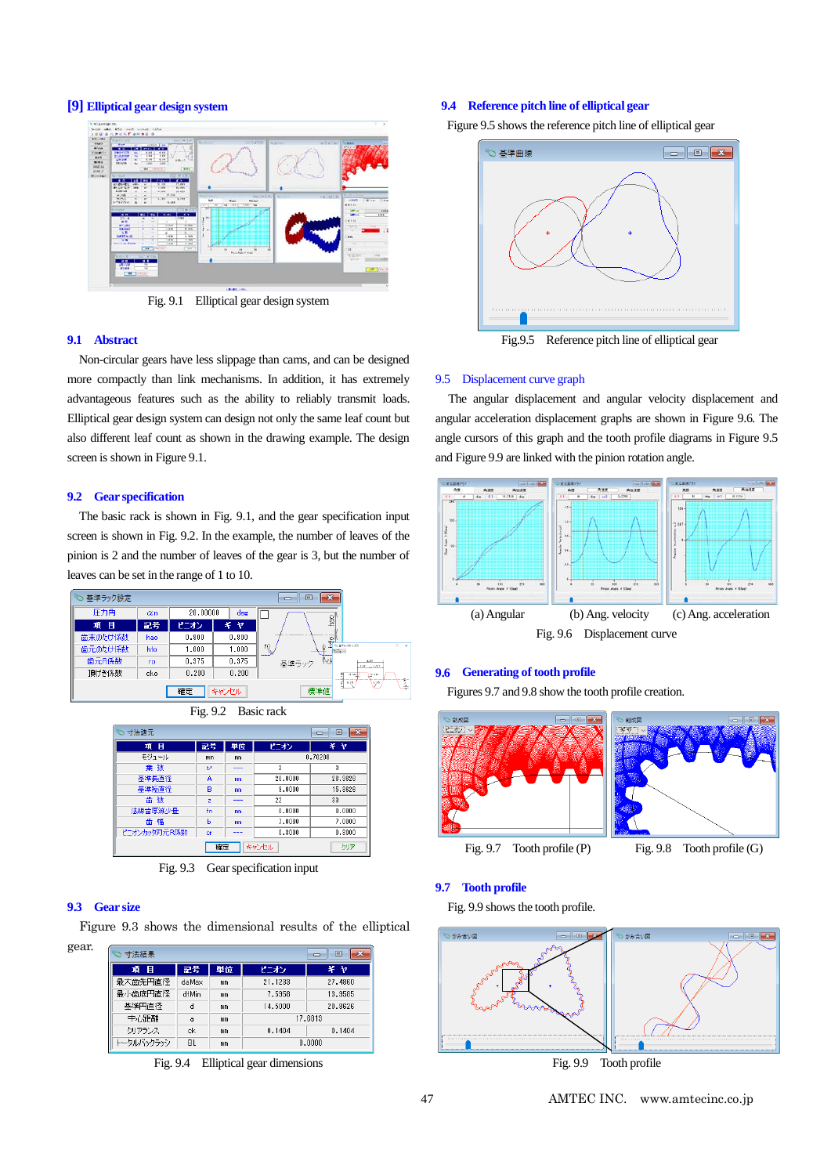# **[9] Elliptical gear design system**



Fig. 9.1 Elliptical gear design system

#### **9.1 Abstract**

Non-circular gears have less slippage than cams, and can be designed more compactly than link mechanisms. In addition, it has extremely advantageous features such as the ability to reliably transmit loads. Elliptical gear design system can design not only the same leaf count but also different leaf count as shown in the drawing example. The design screen is shown in Figure 9.1.

#### **9.2 Gear specification**

The basic rack is shown in Fig. 9.1, and the gear specification input screen is shown in Fig. 9.2. In the example, the number of leaves of the pinion is 2 and the number of leaves of the gear is 3, but the number of leaves can be set in the range of 1 to 10.



| Fig. 9.2 | Basic rack |  |
|----------|------------|--|
|          |            |  |

| 寸法諸元<br>▣<br>- -   |                |      |                |           |  |  |
|--------------------|----------------|------|----------------|-----------|--|--|
| 項目                 | 記号             | 単位   | ピニオン           | $\neq -7$ |  |  |
| モジュール              | mn             | mm   | 0.70208        |           |  |  |
| 葉 数                | υ              | ---  | $\overline{2}$ | 3         |  |  |
| 基準長直径              | A              | mm   | 20,0000        | 26.3626   |  |  |
| 基準短直径              | B              | mm   | 9,0000         | 15.3626   |  |  |
| 歯数                 | $\overline{z}$ | ---- | 22             | 33        |  |  |
| 法線歯厚減少量            | fn             | mm   | 0.0000         | 0.0000    |  |  |
| 齿<br>幅             | ь              | mm   | 7.0000         | 7,0000    |  |  |
| ピニオンカッタ刃元R係数       | cr             |      | 0.3000         | 0.3000    |  |  |
| キャンセル<br>確定<br>クリア |                |      |                |           |  |  |

Fig. 9.3 Gear specification input

# **9.3 Gear size**

Figure 9.3 shows the dimensional results of the elliptical

| ×<br>▣<br>寸法結果 |       |    |         |         |  |  |
|----------------|-------|----|---------|---------|--|--|
| 項目             | 記号    | 単位 | ピニオン    | 半ヤ      |  |  |
| 最大歯先円直径        | daMax | mm | 21.1233 | 27.4860 |  |  |
| 最小歯底円直径        | dfMin | mm | 7.5958  | 13,9585 |  |  |
| 基準円直径          | d     | mm | 14,5000 | 20.8626 |  |  |
| 中心距離           | a     | mm | 17.6813 |         |  |  |
| クリアランス         | ck    | mm | 0.1404  | 0.1404  |  |  |
| トータルバックラッシ     | BL.   | mm | 0.0000  |         |  |  |

Fig. 9.4 Elliptical gear dimensions

#### **9.4 Reference pitch line of elliptical gear**

Figure 9.5 shows the reference pitch line of elliptical gear



Fig.9.5 Reference pitch line of elliptical gear

#### 9.5 Displacement curve graph

The angular displacement and angular velocity displacement and angular acceleration displacement graphs are shown in Figure 9.6. The angle cursors of this graph and the tooth profile diagrams in Figure 9.5 and Figure 9.9 are linked with the pinion rotation angle.



## **9.6 Generating of tooth profile**

Figures 9.7 and 9.8 show the tooth profile creation.



**9.7 Tooth profile**

Fig. 9.9 shows the tooth profile.



Fig. 9.9 Tooth profile